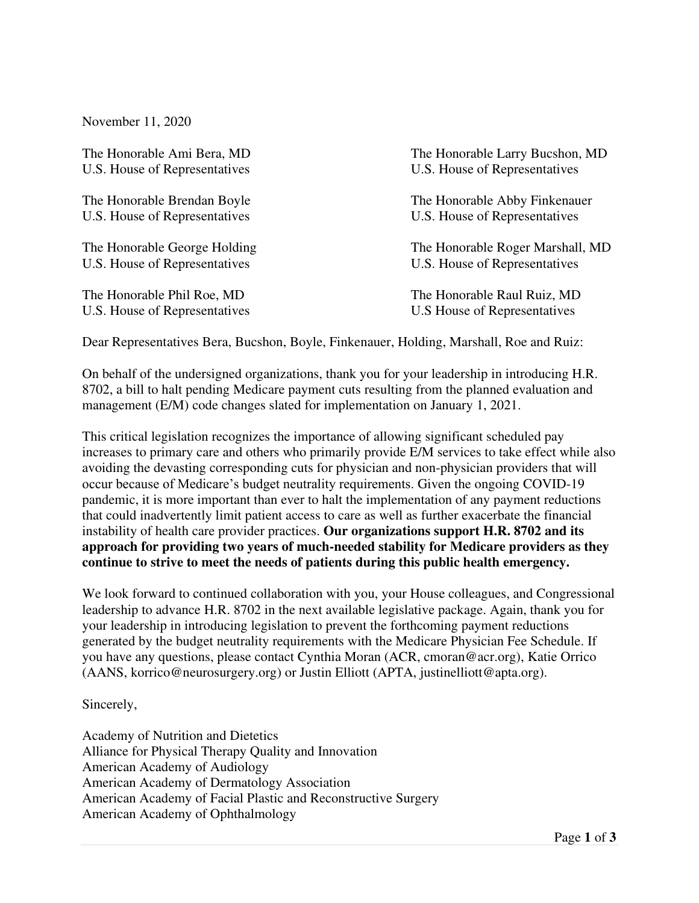November 11, 2020

U.S. House of Representatives U.S. House of Representatives

U.S. House of Representatives U.S. House of Representatives

The Honorable Ami Bera, MD The Honorable Larry Bucshon, MD U.S. House of Representatives U.S. House of Representatives

The Honorable Brendan Boyle The Honorable Abby Finkenauer U.S. House of Representatives U.S. House of Representatives

The Honorable George Holding The Honorable Roger Marshall, MD

The Honorable Phil Roe, MD The Honorable Raul Ruiz, MD

Dear Representatives Bera, Bucshon, Boyle, Finkenauer, Holding, Marshall, Roe and Ruiz:

On behalf of the undersigned organizations, thank you for your leadership in introducing H.R. 8702, a bill to halt pending Medicare payment cuts resulting from the planned evaluation and management (E/M) code changes slated for implementation on January 1, 2021.

This critical legislation recognizes the importance of allowing significant scheduled pay increases to primary care and others who primarily provide E/M services to take effect while also avoiding the devasting corresponding cuts for physician and non-physician providers that will occur because of Medicare's budget neutrality requirements. Given the ongoing COVID-19 pandemic, it is more important than ever to halt the implementation of any payment reductions that could inadvertently limit patient access to care as well as further exacerbate the financial instability of health care provider practices. **Our organizations support H.R. 8702 and its approach for providing two years of much-needed stability for Medicare providers as they continue to strive to meet the needs of patients during this public health emergency.**

We look forward to continued collaboration with you, your House colleagues, and Congressional leadership to advance H.R. 8702 in the next available legislative package. Again, thank you for your leadership in introducing legislation to prevent the forthcoming payment reductions generated by the budget neutrality requirements with the Medicare Physician Fee Schedule. If you have any questions, please contact Cynthia Moran (ACR, cmoran@acr.org), Katie Orrico (AANS, korrico@neurosurgery.org) or Justin Elliott (APTA, justinelliott@apta.org).

Sincerely,

Academy of Nutrition and Dietetics Alliance for Physical Therapy Quality and Innovation American Academy of Audiology American Academy of Dermatology Association American Academy of Facial Plastic and Reconstructive Surgery American Academy of Ophthalmology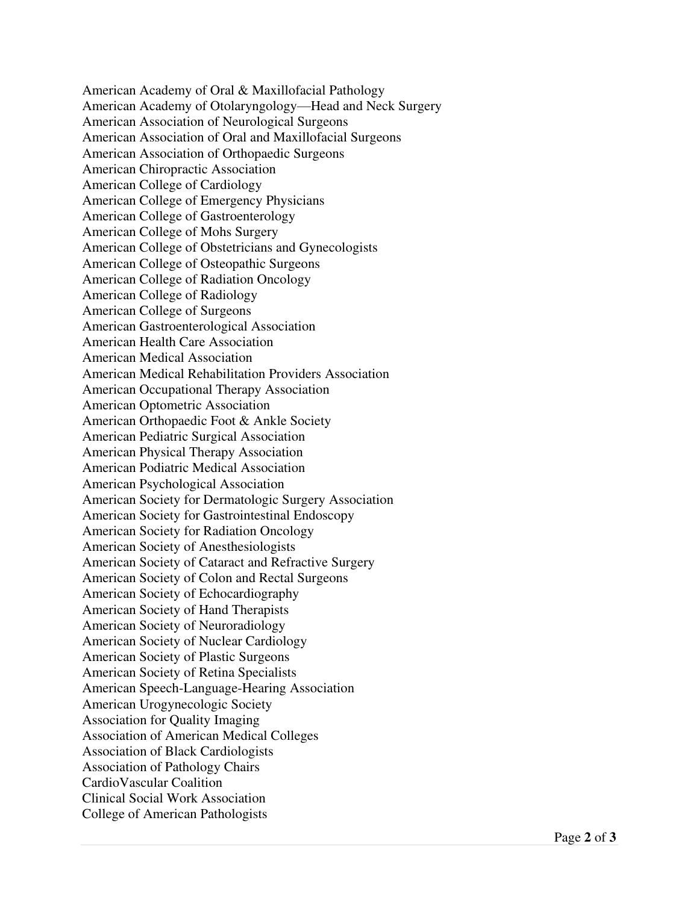American Academy of Oral & Maxillofacial Pathology American Academy of Otolaryngology—Head and Neck Surgery American Association of Neurological Surgeons American Association of Oral and Maxillofacial Surgeons American Association of Orthopaedic Surgeons American Chiropractic Association American College of Cardiology American College of Emergency Physicians American College of Gastroenterology American College of Mohs Surgery American College of Obstetricians and Gynecologists American College of Osteopathic Surgeons American College of Radiation Oncology American College of Radiology American College of Surgeons American Gastroenterological Association American Health Care Association American Medical Association American Medical Rehabilitation Providers Association American Occupational Therapy Association American Optometric Association American Orthopaedic Foot & Ankle Society American Pediatric Surgical Association American Physical Therapy Association American Podiatric Medical Association American Psychological Association American Society for Dermatologic Surgery Association American Society for Gastrointestinal Endoscopy American Society for Radiation Oncology American Society of Anesthesiologists American Society of Cataract and Refractive Surgery American Society of Colon and Rectal Surgeons American Society of Echocardiography American Society of Hand Therapists American Society of Neuroradiology American Society of Nuclear Cardiology American Society of Plastic Surgeons American Society of Retina Specialists American Speech-Language-Hearing Association American Urogynecologic Society Association for Quality Imaging Association of American Medical Colleges Association of Black Cardiologists Association of Pathology Chairs CardioVascular Coalition Clinical Social Work Association College of American Pathologists